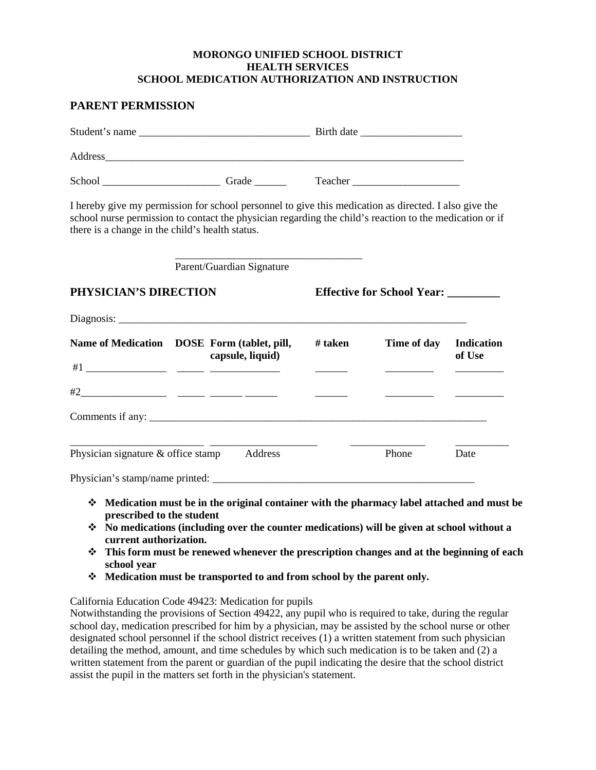## **MORONGO UNIFIED SCHOOL DISTRICT HEALTH SERVICES SCHOOL MEDICATION AUTHORIZATION AND INSTRUCTION**

| there is a change in the child's health status. | I hereby give my permission for school personnel to give this medication as directed. I also give the<br>school nurse permission to contact the physician regarding the child's reaction to the medication or if |                                     |                        |        |
|-------------------------------------------------|------------------------------------------------------------------------------------------------------------------------------------------------------------------------------------------------------------------|-------------------------------------|------------------------|--------|
|                                                 | Parent/Guardian Signature                                                                                                                                                                                        |                                     |                        |        |
| PHYSICIAN'S DIRECTION                           |                                                                                                                                                                                                                  | Effective for School Year: ________ |                        |        |
|                                                 |                                                                                                                                                                                                                  |                                     |                        |        |
|                                                 | Name of Medication DOSE Form (tablet, pill,<br>capsule, liquid)                                                                                                                                                  | # taken                             | Time of day Indication | of Use |
|                                                 |                                                                                                                                                                                                                  |                                     |                        |        |
|                                                 | Comments if any:                                                                                                                                                                                                 |                                     |                        |        |
| Physician signature & office stamp Address      |                                                                                                                                                                                                                  |                                     | Phone                  | Date   |
|                                                 |                                                                                                                                                                                                                  |                                     |                        |        |

- **No medications (including over the counter medications) will be given at school without a current authorization.**
- **This form must be renewed whenever the prescription changes and at the beginning of each school year**
- **Medication must be transported to and from school by the parent only.**

California Education Code 49423: Medication for pupils

Notwithstanding the provisions of Section 49422, any pupil who is required to take, during the regular school day, medication prescribed for him by a physician, may be assisted by the school nurse or other designated school personnel if the school district receives (1) a written statement from such physician detailing the method, amount, and time schedules by which such medication is to be taken and (2) a written statement from the parent or guardian of the pupil indicating the desire that the school district assist the pupil in the matters set forth in the physician's statement.